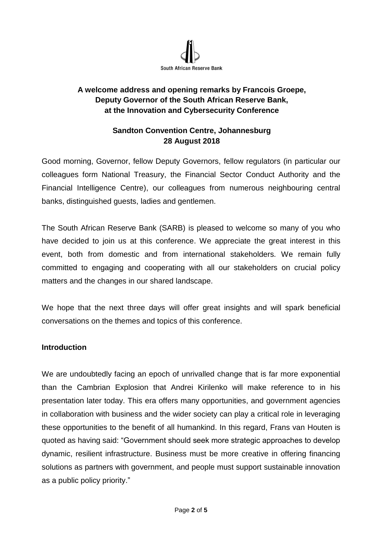

# **A welcome address and opening remarks by Francois Groepe, Deputy Governor of the South African Reserve Bank, at the Innovation and Cybersecurity Conference**

### **Sandton Convention Centre, Johannesburg 28 August 2018**

Good morning, Governor, fellow Deputy Governors, fellow regulators (in particular our colleagues form National Treasury, the Financial Sector Conduct Authority and the Financial Intelligence Centre), our colleagues from numerous neighbouring central banks, distinguished guests, ladies and gentlemen.

The South African Reserve Bank (SARB) is pleased to welcome so many of you who have decided to join us at this conference. We appreciate the great interest in this event, both from domestic and from international stakeholders. We remain fully committed to engaging and cooperating with all our stakeholders on crucial policy matters and the changes in our shared landscape.

We hope that the next three days will offer great insights and will spark beneficial conversations on the themes and topics of this conference.

### **Introduction**

We are undoubtedly facing an epoch of unrivalled change that is far more exponential than the Cambrian Explosion that Andrei Kirilenko will make reference to in his presentation later today. This era offers many opportunities, and government agencies in collaboration with business and the wider society can play a critical role in leveraging these opportunities to the benefit of all humankind. In this regard, Frans van Houten is quoted as having said: "Government should seek more strategic approaches to develop dynamic, resilient infrastructure. Business must be more creative in offering financing solutions as partners with government, and people must support sustainable innovation as a public policy priority."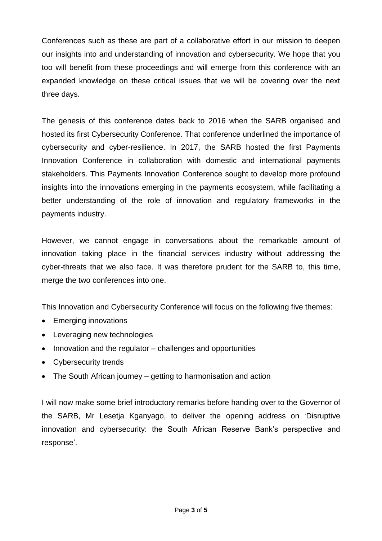Conferences such as these are part of a collaborative effort in our mission to deepen our insights into and understanding of innovation and cybersecurity. We hope that you too will benefit from these proceedings and will emerge from this conference with an expanded knowledge on these critical issues that we will be covering over the next three days.

The genesis of this conference dates back to 2016 when the SARB organised and hosted its first Cybersecurity Conference. That conference underlined the importance of cybersecurity and cyber-resilience. In 2017, the SARB hosted the first Payments Innovation Conference in collaboration with domestic and international payments stakeholders. This Payments Innovation Conference sought to develop more profound insights into the innovations emerging in the payments ecosystem, while facilitating a better understanding of the role of innovation and regulatory frameworks in the payments industry.

However, we cannot engage in conversations about the remarkable amount of innovation taking place in the financial services industry without addressing the cyber-threats that we also face. It was therefore prudent for the SARB to, this time, merge the two conferences into one.

This Innovation and Cybersecurity Conference will focus on the following five themes:

- Emerging innovations
- Leveraging new technologies
- $\bullet$  Innovation and the regulator challenges and opportunities
- Cybersecurity trends
- The South African journey getting to harmonisation and action

I will now make some brief introductory remarks before handing over to the Governor of the SARB, Mr Lesetja Kganyago, to deliver the opening address on 'Disruptive innovation and cybersecurity: the South African Reserve Bank's perspective and response'.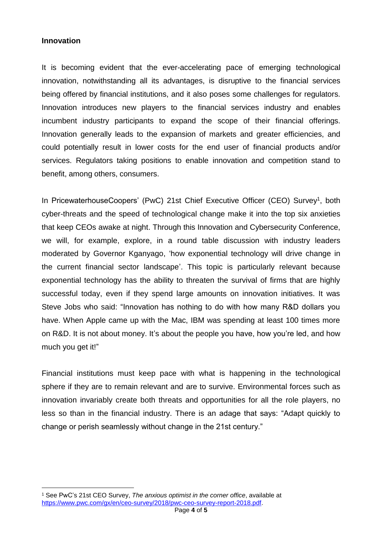#### **Innovation**

 $\overline{a}$ 

It is becoming evident that the ever-accelerating pace of emerging technological innovation, notwithstanding all its advantages, is disruptive to the financial services being offered by financial institutions, and it also poses some challenges for regulators. Innovation introduces new players to the financial services industry and enables incumbent industry participants to expand the scope of their financial offerings. Innovation generally leads to the expansion of markets and greater efficiencies, and could potentially result in lower costs for the end user of financial products and/or services. Regulators taking positions to enable innovation and competition stand to benefit, among others, consumers.

In PricewaterhouseCoopers' (PwC) 21st Chief Executive Officer (CEO) Survey<sup>1</sup>, both cyber-threats and the speed of technological change make it into the top six anxieties that keep CEOs awake at night. Through this Innovation and Cybersecurity Conference, we will, for example, explore, in a round table discussion with industry leaders moderated by Governor Kganyago, 'how exponential technology will drive change in the current financial sector landscape'. This topic is particularly relevant because exponential technology has the ability to threaten the survival of firms that are highly successful today, even if they spend large amounts on innovation initiatives. It was Steve Jobs who said: "Innovation has nothing to do with how many R&D dollars you have. When Apple came up with the Mac, IBM was spending at least 100 times more on R&D. It is not about money. It's about the people you have, how you're led, and how much you get it!"

Financial institutions must keep pace with what is happening in the technological sphere if they are to remain relevant and are to survive. Environmental forces such as innovation invariably create both threats and opportunities for all the role players, no less so than in the financial industry. There is an adage that says: "Adapt quickly to change or perish seamlessly without change in the 21st century."

<sup>1</sup> See PwC's 21st CEO Survey, *The anxious optimist in the corner office*, available at [https://www.pwc.com/gx/en/ceo-survey/2018/pwc-ceo-survey-report-2018.pdf.](https://www.pwc.com/gx/en/ceo-survey/2018/pwc-ceo-survey-report-2018.pdf)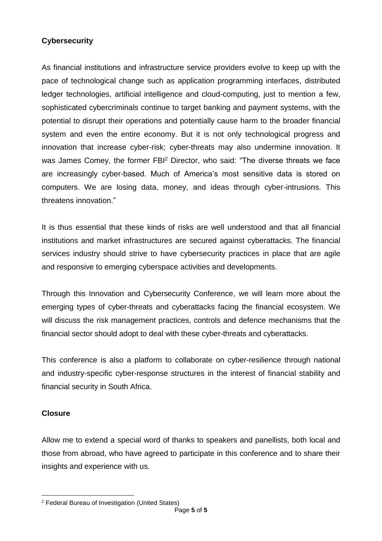# **Cybersecurity**

As financial institutions and infrastructure service providers evolve to keep up with the pace of technological change such as application programming interfaces, distributed ledger technologies, artificial intelligence and cloud-computing, just to mention a few, sophisticated cybercriminals continue to target banking and payment systems, with the potential to disrupt their operations and potentially cause harm to the broader financial system and even the entire economy. But it is not only technological progress and innovation that increase cyber-risk; cyber-threats may also undermine innovation. It was James Comey, the former FBI<sup>2</sup> Director, who said: "The diverse threats we face are increasingly cyber-based. Much of America's most sensitive data is stored on computers. We are losing data, money, and ideas through cyber-intrusions. This threatens innovation."

It is thus essential that these kinds of risks are well understood and that all financial institutions and market infrastructures are secured against cyberattacks. The financial services industry should strive to have cybersecurity practices in place that are agile and responsive to emerging cyberspace activities and developments.

Through this Innovation and Cybersecurity Conference, we will learn more about the emerging types of cyber-threats and cyberattacks facing the financial ecosystem. We will discuss the risk management practices, controls and defence mechanisms that the financial sector should adopt to deal with these cyber-threats and cyberattacks.

This conference is also a platform to collaborate on cyber-resilience through national and industry-specific cyber-response structures in the interest of financial stability and financial security in South Africa.

# **Closure**

 $\overline{a}$ 

Allow me to extend a special word of thanks to speakers and panellists, both local and those from abroad, who have agreed to participate in this conference and to share their insights and experience with us.

<sup>2</sup> Federal Bureau of Investigation (United States)